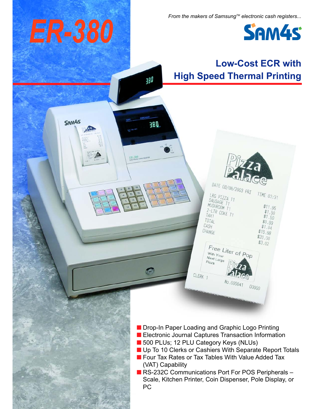*From the makers of Samsung™ electronic cash registers...* 



## **Low-Cost ECR with High Speed Thermal Printing** 380 SAM<sub>45</sub> **DBE** ER-380 DATE 08/08/2003 FRI TIME  $03:31$ LRG PIZZA TI SAUSAGE TT MUSHROOM TT  $$11.95$ 2-LTR COKE T1<br>TAX1 COKE T1  $$1.50$  $$1.50$ TOTAL  $$0.99$ CASH  $$1.04$ CHANGE \$16.98  $$20.00$  $$3.02$ Free Liter of Pop With Your Next Large  $Pizza$ CLERK<sub>1</sub> 00000 ■ Drop-In Paper Loading and Graphic Logo Printing ■ Electronic Journal Captures Transaction Information ■ 500 PLUs; 12 PLU Category Keys (NLUs) ■ Up To 10 Clerks or Cashiers With Separate Report Totals ■ Four Tax Rates or Tax Tables With Value Added Tax (VAT) Capability ■ RS-232C Communications Port For POS Peripherals -Scale, Kitchen Printer, Coin Dispenser, Pole Display, or PC

*ER-380*